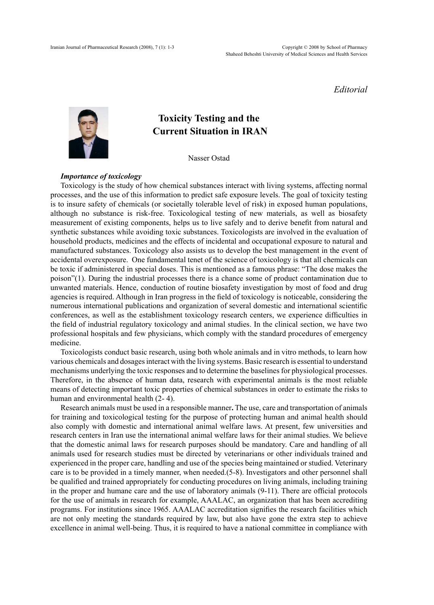## *Editorial*



# **Toxicity Testing and the Current Situation in IRAN**

Nasser Ostad

# *Importance of toxicology*

Toxicology is the study of how chemical substances interact with living systems, affecting normal processes, and the use of this information to predict safe exposure levels. The goal of toxicity testing is to insure safety of chemicals (or societally tolerable level of risk) in exposed human populations, although no substance is risk-free. Toxicological testing of new materials, as well as biosafety measurement of existing components, helps us to live safely and to derive benefit from natural and synthetic substances while avoiding toxic substances. Toxicologists are involved in the evaluation of household products, medicines and the effects of incidental and occupational exposure to natural and manufactured substances. Toxicology also assists us to develop the best management in the event of manuteured substances. Toxicology also assists as to develop the oest manufactured in the event of accidental overexposure. One fundamental tenet of the science of toxicology is that all chemicals can to toxic if administered in special doses. This is mentioned as a famous phrase: "The dose makes the poison"(1). During the industrial processes there is a chance some of product contamination due to unwanted materials. Hence, conduction of routine biosafety investigation by most of food and drug agencies is required. Although in Iran progress in the field of toxicology is noticeable, considering the numerous international publications and organization of several domestic and international scientific conferences, as well as the establishment toxicology research centers, we experience difficulties in the field of industrial regulatory toxicology and animal studies. In the clinical section, we have two professional hospitals and few physicians, which comply with the standard procedures of emergency medicine. administered in special doses. This is mentioned as  $\mathcal{L}$  famous phrase:  $\mathcal{L}$ 

Toxicologists conduct basic research, using both whole animals and in vitro methods, to learn how various chemicals and dosages interact with the living systems. Basic research is essential to understand mechanisms underlying the toxic responses and to determine the baselines for physiological processes. Therefore, in the absence of human data, research with experimental animals is the most reliable means of detecting important toxic properties of chemical substances in order to estimate the risks to human and environmental health  $(2 - 4)$ .

Research animals must be used in a responsible manner. The use, care and transportation of animals for training and toxicological testing for the purpose of protecting human and animal health should also comply with domestic and international animal welfare laws. At present, few universities and research centers in Iran use the international animal welfare laws for their animal studies. We believe that the domestic animal laws for research purposes should be mandatory. Care and handling of all animals used for research studies must be directed by veterinarians or other individuals trained and experienced in the proper care, handling and use of the species being maintained or studied. Veterinary care is to be provided in a timely manner, when needed.(5-8). Investigators and other personnel shall be qualified and trained appropriately for conducting procedures on living animals, including training in the proper and humane care and the use of laboratory animals (9-11). There are official protocols for the use of animals in research for example, AAALAC, an organization that has been accrediting programs. For institutions since 1965. AAALAC accreditation signifies the research facilities which are not only meeting the standards required by law, but also have gone the extra step to achieve excellence in animal well-being. Thus, it is required to have a national committee in compliance with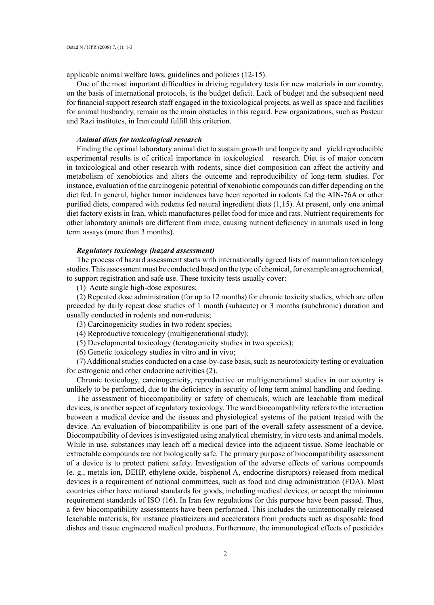applicable animal welfare laws, guidelines and policies (12-15).

One of the most important difficulties in driving regulatory tests for new materials in our country, on the basis of international protocols, is the budget deficit. Lack of budget and the subsequent need for financial support research staff engaged in the toxicological projects, as well as space and facilities for animal husbandry, remain as the main obstacles in this regard. Few organizations, such as Pasteur and Razi institutes, in Iran could fulfill this criterion.

#### *Animal diets for toxicological research*

Finding the optimal laboratory animal diet to sustain growth and longevity and yield reproducible experimental results is of critical importance in toxicological research. Diet is of major concern in toxicological and other research with rodents, since diet composition can affect the activity and metabolism of xenobiotics and alters the outcome and reproducibility of long-term studies. For instance, evaluation of the carcinogenic potential of xenobiotic compounds can differ depending on the diet fed. In general, higher tumor incidences have been reported in rodents fed the AIN-76A or other purified diets, compared with rodents fed natural ingredient diets (1,15). At present, only one animal diet factory exists in Iran, which manufactures pellet food for mice and rats. Nutrient requirements for other laboratory animals are different from mice, causing nutrient deficiency in animals used in long term assays (more than 3 months).

### *Regulatory toxicology (hazard assessment)*

The process of hazard assessment starts with internationally agreed lists of mammalian toxicology studies. This assessment must be conducted based on the type of chemical, for example an agrochemical, to support registration and safe use. These toxicity tests usually cover:

(1) Acute single high-dose exposures;

(2) Repeated dose administration (for up to 12 months) for chronic toxicity studies, which are often preceded by daily repeat dose studies of 1 month (subacute) or 3 months (subchronic) duration and usually conducted in rodents and non-rodents;

(3) Carcinogenicity studies in two rodent species;

(4) Reproductive toxicology (multigenerational study);

(5) Developmental toxicology (teratogenicity studies in two species);

(6) Genetic toxicology studies in vitro and in vivo;

(7) Additional studies conducted on a case-by-case basis, such as neurotoxicity testing or evaluation for estrogenic and other endocrine activities (2).

Chronic toxicology, carcinogenicity, reproductive or multigenerational studies in our country is unlikely to be performed, due to the deficiency in security of long term animal handling and feeding.

The assessment of biocompatibility or safety of chemicals, which are leachable from medical devices, is another aspect of regulatory toxicology. The word biocompatibility refers to the interaction between a medical device and the tissues and physiological systems of the patient treated with the device. An evaluation of biocompatibility is one part of the overall safety assessment of a device. Biocompatibility of devices is investigated using analytical chemistry, in vitro tests and animal models. While in use, substances may leach off a medical device into the adjacent tissue. Some leachable or extractable compounds are not biologically safe. The primary purpose of biocompatibility assessment of a device is to protect patient safety. Investigation of the adverse effects of various compounds (e. g., metals ion, DEHP, ethylene oxide, bisphenol A, endocrine disruptors) released from medical devices is a requirement of national committees, such as food and drug administration (FDA). Most countries either have national standards for goods, including medical devices, or accept the minimum requirement standards of ISO (16). In Iran few regulations for this purpose have been passed. Thus, a few biocompatibility assessments have been performed. This includes the unintentionally released leachable materials, for instance plasticizers and accelerators from products such as disposable food dishes and tissue engineered medical products. Furthermore, the immunological effects of pesticides